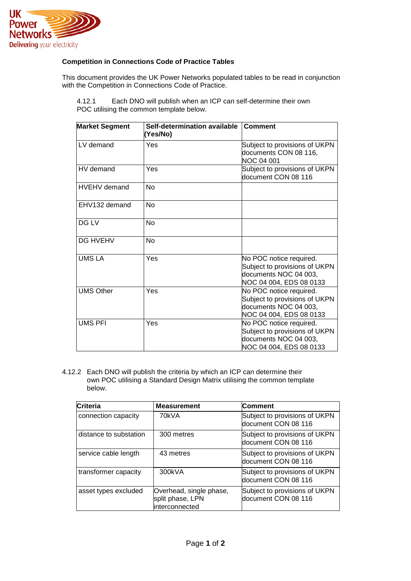

## **Competition in Connections Code of Practice Tables**

This document provides the UK Power Networks populated tables to be read in conjunction with the Competition in Connections Code of Practice.

| <b>Market Segment</b> | Self-determination available<br>(Yes/No) | <b>Comment</b>                                                                                               |
|-----------------------|------------------------------------------|--------------------------------------------------------------------------------------------------------------|
| LV demand             | Yes                                      | Subject to provisions of UKPN<br>documents CON 08 116,<br>NOC 04 001                                         |
| HV demand             | Yes                                      | Subject to provisions of UKPN<br>document CON 08 116                                                         |
| <b>HVEHV</b> demand   | <b>No</b>                                |                                                                                                              |
| EHV132 demand         | No                                       |                                                                                                              |
| DG LV                 | <b>No</b>                                |                                                                                                              |
| <b>DG HVEHV</b>       | <b>No</b>                                |                                                                                                              |
| <b>UMS LA</b>         | Yes                                      | No POC notice required.<br>Subject to provisions of UKPN<br>documents NOC 04 003,<br>NOC 04 004, EDS 08 0133 |
| <b>UMS Other</b>      | Yes                                      | No POC notice required.<br>Subject to provisions of UKPN<br>documents NOC 04 003,<br>NOC 04 004, EDS 08 0133 |
| <b>UMS PFI</b>        | Yes                                      | No POC notice required.<br>Subject to provisions of UKPN<br>documents NOC 04 003,<br>NOC 04 004, EDS 08 0133 |

4.12.1 Each DNO will publish when an ICP can self-determine their own POC utilising the common template below.

4.12.2 Each DNO will publish the criteria by which an ICP can determine their own POC utilising a Standard Design Matrix utilising the common template below.

| Criteria               | <b>Measurement</b>                                            | <b>Comment</b>                                       |
|------------------------|---------------------------------------------------------------|------------------------------------------------------|
| connection capacity    | 70kVA                                                         | Subject to provisions of UKPN<br>document CON 08 116 |
| distance to substation | 300 metres                                                    | Subject to provisions of UKPN<br>document CON 08 116 |
| service cable length   | 43 metres                                                     | Subject to provisions of UKPN<br>document CON 08 116 |
| transformer capacity   | 300kVA                                                        | Subject to provisions of UKPN<br>document CON 08 116 |
| asset types excluded   | Overhead, single phase,<br>split phase, LPN<br>interconnected | Subject to provisions of UKPN<br>document CON 08 116 |